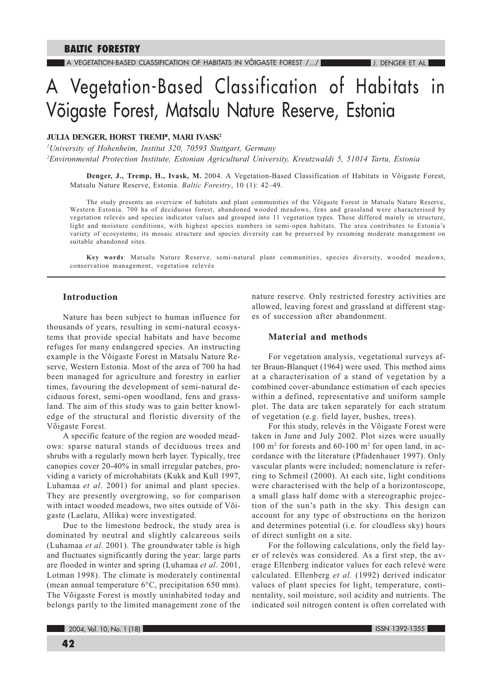# A Vegetation-Based Classification of Habitats in Võigaste Forest, Matsalu Nature Reserve, Estonia

# JULIA DENGER, HORST TREMP<sup>1</sup>, MARI IVASK<sup>2</sup>

<sup>1</sup>University of Hohenheim, Institut 320, 70593 Stuttgart, Germany <sup>2</sup>Environmental Protection Institute, Estonian Agricultural University, Kreutzwaldi 5, 51014 Tartu, Estonia

Denger, J., Tremp, H., Ivask, M. 2004. A Vegetation-Based Classification of Habitats in Võigaste Forest, Matsalu Nature Reserve, Estonia. Baltic Forestry, 10 (1): 42-49.

The study presents an overview of habitats and plant communities of the Võigaste Forest in Matsalu Nature Reserve, Western Estonia. 700 ha of deciduous forest, abandoned wooded meadows, fens and grassland were characterised by vegetation relevés and species indicator values and grouped into 11 vegetation types. These differed mainly in structure, light and moisture conditions, with highest species numbers in semi-open habitats. The area contributes to Estonia's variety of ecosystems; its mosaic structure and species diversity can be preserved by resuming moderate management on suitable abandoned sites.

Key words: Matsalu Nature Reserve, semi-natural plant communities, species diversity, wooded meadows, conservation management, vegetation relevés

## **Introduction**

Nature has been subject to human influence for thousands of years, resulting in semi-natural ecosystems that provide special habitats and have become refuges for many endangered species. An instructing example is the Võigaste Forest in Matsalu Nature Reserve, Western Estonia. Most of the area of 700 ha had been managed for agriculture and forestry in earlier times, favouring the development of semi-natural deciduous forest, semi-open woodland, fens and grassland. The aim of this study was to gain better knowledge of the structural and floristic diversity of the Võigaste Forest.

A specific feature of the region are wooded meadows: sparse natural stands of deciduous trees and shrubs with a regularly mown herb layer. Typically, tree canopies cover 20-40% in small irregular patches, providing a variety of microhabitats (Kukk and Kull 1997, Luhamaa et al. 2001) for animal and plant species. They are presently overgrowing, so for comparison with intact wooded meadows, two sites outside of Võigaste (Laelatu, Allika) were investigated.

Due to the limestone bedrock, the study area is dominated by neutral and slightly calcareous soils (Luhamaa et al. 2001). The groundwater table is high and fluctuates significantly during the year: large parts are flooded in winter and spring (Luhamaa et al. 2001, Lotman 1998). The climate is moderately continental (mean annual temperature 6°C, precipitation 650 mm). The Võigaste Forest is mostly uninhabited today and belongs partly to the limited management zone of the

nature reserve. Only restricted forestry activities are allowed, leaving forest and grassland at different stages of succession after abandonment.

## **Material and methods**

For vegetation analysis, vegetational surveys after Braun-Blanquet (1964) were used. This method aims at a characterisation of a stand of vegetation by a combined cover-abundance estimation of each species within a defined, representative and uniform sample plot. The data are taken separately for each stratum of vegetation (e.g. field layer, bushes, trees).

For this study, relevés in the Võigaste Forest were taken in June and July 2002. Plot sizes were usually 100 m<sup>2</sup> for forests and 60-100 m<sup>2</sup> for open land, in accordance with the literature (Pfadenhauer 1997). Only vascular plants were included; nomenclature is referring to Schmeil (2000). At each site, light conditions were characterised with the help of a horizontoscope, a small glass half dome with a stereographic projection of the sun's path in the sky. This design can account for any type of obstructions on the horizon and determines potential (i.e. for cloudless sky) hours of direct sunlight on a site.

For the following calculations, only the field layer of relevés was considered. As a first step, the average Ellenberg indicator values for each relevé were calculated. Ellenberg et al. (1992) derived indicator values of plant species for light, temperature, continentality, soil moisture, soil acidity and nutrients. The indicated soil nitrogen content is often correlated with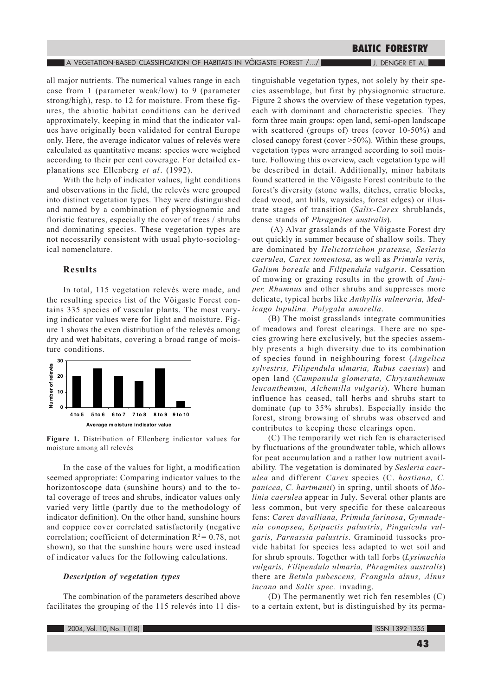#### $\blacksquare$  A vegetation-based classification of habitats in võigaste forest /.../ $\blacksquare$

J. DENGER ET AL.

all major nutrients. The numerical values range in each case from 1 (parameter weak/low) to 9 (parameter strong/high), resp. to 12 for moisture. From these figures, the abiotic habitat conditions can be derived approximately, keeping in mind that the indicator values have originally been validated for central Europe only. Here, the average indicator values of relevés were calculated as quantitative means: species were weighed according to their per cent coverage. For detailed explanations see Ellenberg et al. (1992).

With the help of indicator values, light conditions and observations in the field, the relevés were grouped into distinct vegetation types. They were distinguished and named by a combination of physiognomic and floristic features, especially the cover of trees / shrubs and dominating species. These vegetation types are not necessarily consistent with usual phyto-sociological nomenclature.

# **Results**

In total, 115 vegetation relevés were made, and the resulting species list of the Võigaste Forest contains 335 species of vascular plants. The most varying indicator values were for light and moisture. Figure 1 shows the even distribution of the relevés among dry and wet habitats, covering a broad range of moisture conditions.



Figure 1. Distribution of Ellenberg indicator values for moisture among all relevés

In the case of the values for light, a modification seemed appropriate: Comparing indicator values to the horizontoscope data (sunshine hours) and to the total coverage of trees and shrubs, indicator values only varied very little (partly due to the methodology of indicator definition). On the other hand, sunshine hours and coppice cover correlated satisfactorily (negative correlation; coefficient of determination  $R^2 = 0.78$ , not shown), so that the sunshine hours were used instead of indicator values for the following calculations.

## Description of vegetation types

The combination of the parameters described above facilitates the grouping of the 115 relevés into 11 dis-

tinguishable vegetation types, not solely by their species assemblage, but first by physiognomic structure. Figure 2 shows the overview of these vegetation types, each with dominant and characteristic species. They form three main groups: open land, semi-open landscape with scattered (groups of) trees (cover 10-50%) and closed canopy forest (cover  $>50\%$ ). Within these groups, vegetation types were arranged according to soil moisture. Following this overview, each vegetation type will be described in detail. Additionally, minor habitats found scattered in the Võigaste Forest contribute to the forest's diversity (stone walls, ditches, erratic blocks, dead wood, ant hills, waysides, forest edges) or illustrate stages of transition (Salix-Carex shrublands, dense stands of *Phragmites australis*).

(A) Alvar grasslands of the Võigaste Forest dry out quickly in summer because of shallow soils. They are dominated by Helictotrichon pratense, Sesleria caerulea, Carex tomentosa, as well as Primula veris, Galium boreale and Filipendula vulgaris. Cessation of mowing or grazing results in the growth of Juniper, Rhamnus and other shrubs and suppresses more delicate, typical herbs like Anthyllis vulneraria, Medicago lupulina, Polygala amarella.

(B) The moist grasslands integrate communities of meadows and forest clearings. There are no species growing here exclusively, but the species assembly presents a high diversity due to its combination of species found in neighbouring forest (Angelica sylvestris, Filipendula ulmaria, Rubus caesius) and open land (Campanula glomerata, Chrysanthemum leucanthemum, Alchemilla vulgaris). Where human influence has ceased, tall herbs and shrubs start to dominate (up to 35% shrubs). Especially inside the forest, strong browsing of shrubs was observed and contributes to keeping these clearings open.

(C) The temporarily wet rich fen is characterised by fluctuations of the groundwater table, which allows for peat accumulation and a rather low nutrient availability. The vegetation is dominated by Sesleria caerulea and different Carex species (C. hostiana, C. panicea, C. hartmanii) in spring, until shoots of Molinia caerulea appear in July. Several other plants are less common, but very specific for these calcareous fens: Carex davalliana, Primula farinosa, Gymnadenia conopsea, Epipactis palustris, Pinguicula vulgaris, Parnassia palustris. Graminoid tussocks provide habitat for species less adapted to wet soil and for shrub sprouts. Together with tall forbs (Lysimachia vulgaris, Filipendula ulmaria, Phragmites australis) there are Betula pubescens, Frangula alnus, Alnus incana and Salix spec. invading.

(D) The permanently wet rich fen resembles (C) to a certain extent, but is distinguished by its perma-

ISSN 1392-1355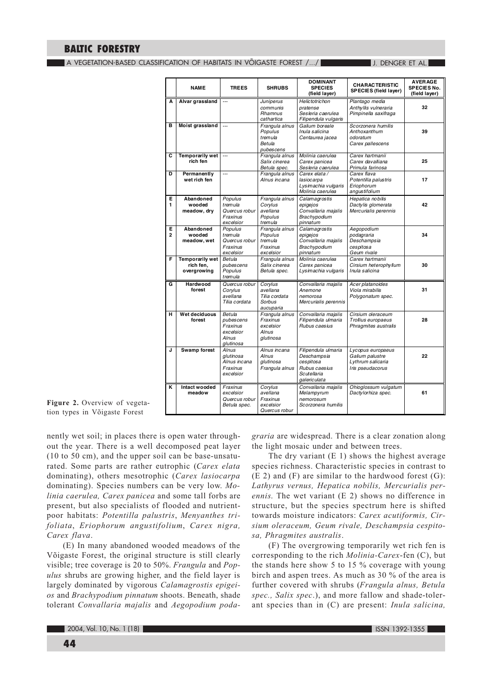$\blacksquare$  a vegetation-based classification of habitats in võigaste forest /.../  $\blacksquare$ 

**J. DENGER ET AL.** 

|                     | <b>NAME</b>                                 | <b>TREES</b>                                                       | <b>SHRUBS</b>                                                        | <b>DOMINANT</b><br><b>SPECIES</b><br>(field layer)                                              | <b>CHARACTERISTIC</b><br><b>SPECIES (field layer)</b>                         | <b>AVERAGE</b><br>SPECIES No.<br>(field layer) |
|---------------------|---------------------------------------------|--------------------------------------------------------------------|----------------------------------------------------------------------|-------------------------------------------------------------------------------------------------|-------------------------------------------------------------------------------|------------------------------------------------|
| A                   | Alvar grassland                             |                                                                    | Juniperus<br>communis<br>Rhamnus<br>cathartica                       | <b>Helictotrichon</b><br>pratense<br>Sesleria caerulea<br>Filipendula vulgaris                  | Plantago media<br>Anthyllis vulneraria<br>Pimpinella saxifraga                | 32                                             |
| в                   | Moist grassland                             | $\cdots$                                                           | Frangula alnus<br>Populus<br>tremula<br>Betula<br>pubescens          | Galium boreale<br>Inula salicina<br>Centaurea jacea                                             | Scorzonera humilis<br>Anthoxanthum<br>odoratum<br>Carex pallescens            | 39                                             |
| C                   | Temporarily wet<br>rich fen                 |                                                                    | Frangula alnus<br>Salix cinerea<br>Betula spec.                      | Molinia caerulea<br>Carex panicea<br>Sesleria caerulea                                          | Carex hartmanii<br>Carex davalliana<br>Primula farinosa                       | 25                                             |
| D                   | Permanently<br>wet rich fen                 |                                                                    | Frangula alnus<br>Alnus incana                                       | Carex elata /<br>lasiocarpa<br>Lysimachia vulgaris<br>Molinia caerulea                          | Carex flava<br>Potentilla palustris<br>Eriophorum<br>angustifolium            | 17                                             |
| Е.<br>1             | Abandoned<br>wooded<br>meadow, dry          | Populus<br>tremula<br>Quercus robur<br>Fraxinus<br>excelsior       | Frangula alnus<br>Corvlus<br>avellana<br>Populus<br>tremula          | Calamagrostis<br>epigejos<br>Convallaria majalis<br>Brachypodium<br>pinnatum                    | Hepatica nobilis<br>Dactylis glomerata<br>Mercurialis perennis                | 42                                             |
| Е<br>$\overline{a}$ | Abandoned<br>wooded<br>meadow, wet          | Populus<br>tremula<br>Quercus robur<br>Fraxinus<br>excelsior       | Frangula alnus<br>Populus<br>tremula<br>Fraxinus<br>excelsior        | Calamagrostis<br>epigejos<br>Convallaria majalis<br>Brachypodium<br>pinnatum                    | Aegopodium<br>podagraria<br>Deschampsia<br>cespitosa<br>Geum rivale           | 34                                             |
| F.                  | Temporarily wet<br>rich fen.<br>overgrowing | Betula<br>pubescens<br>Populus<br>tremula                          | Frangula alnus<br>Salix cinerea<br>Betula spec.                      | Molinia caerulea<br>Carex panicea<br>Lysimachia vulgaris                                        | Carex hartmanii<br>Cirsium heterophyllum<br>Inula salicina                    | 30                                             |
| G                   | Hardwood<br>forest                          | Quercus robur<br>Corylus<br>avellana<br>Tilia cordata              | Corylus<br>avellana<br>Tilia cordata<br>Sorbus<br>aucuparia          | Convallaria majalis<br>Anemone<br>nemorosa<br>Mercurialis perennis                              | Acer platanoides<br>Viola mirabilis<br>Polygonatum spec.                      | 31                                             |
| н                   | Wet deciduous<br>forest                     | Betula<br>pubescens<br>Fraxinus<br>excelsior<br>Alnus<br>glutinosa | Frangula alnus<br>Fraxinus<br>excelsior<br><b>Alnus</b><br>glutinosa | Convallaria majalis<br>Filipendula ulmaria<br>Rubus caesius                                     | Cirsium oleraceum<br>Trollius europaeus<br>Phragmites australis               | 28                                             |
| J                   | Swamp forest                                | <b>Alnus</b><br>alutinosa<br>Alnus incana<br>Fraxinus<br>excelsior | Alnus incana<br>Alnus<br>glutinosa<br>Frangula alnus                 | Filipendula ulmaria<br>Deschampsia<br>cespitosa<br>Rubus caesius<br>Scutellaria<br>galericulata | Lycopus europaeus<br>Galium palustre<br>Lythrum salicaria<br>Iris pseudacorus | 22                                             |
| ĸ                   | Intact wooded<br>meadow                     | Fraxinus<br>excelsior<br>Quercus robur<br>Betula spec.             | Corylus<br>avellana<br>Fraxinus<br>excelsior<br>Quercus robur        | Convallaria majalis<br>Melampyrum<br>nemorosum<br>Scorzonera humilis                            | Ohioglossum vulgatum<br>Dactylorhiza spec.                                    | 61                                             |

Figure 2. Overview of vegetation types in Võigaste Forest

nently wet soil; in places there is open water throughout the year. There is a well decomposed peat layer (10 to 50 cm), and the upper soil can be base-unsaturated. Some parts are rather eutrophic (Carex elata dominating), others mesotrophic (Carex lasiocarpa dominating). Species numbers can be very low. Molinia caerulea, Carex panicea and some tall forbs are present, but also specialists of flooded and nutrientpoor habitats: Potentilla palustris, Menyanthes trifoliata, Eriophorum angustifolium, Carex nigra, Carex flava.

(E) In many abandoned wooded meadows of the Võigaste Forest, the original structure is still clearly visible; tree coverage is 20 to 50%. Frangula and Pop*ulus* shrubs are growing higher, and the field laver is largely dominated by vigorous Calamagrostis epigeios and Brachypodium pinnatum shoots. Beneath, shade tolerant Convallaria majalis and Aegopodium podagraria are widespread. There is a clear zonation along the light mosaic under and between trees.

The dry variant  $(E 1)$  shows the highest average species richness. Characteristic species in contrast to  $(E 2)$  and  $(F)$  are similar to the hardwood forest  $(G)$ : Lathyrus vernus, Hepatica nobilis, Mercurialis per*ennis*. The wet variant  $(E 2)$  shows no difference in structure, but the species spectrum here is shifted towards moisture indicators: Carex acutiformis, Cirsium oleraceum, Geum rivale, Deschampsia cespitosa, Phragmites australis.

(F) The overgrowing temporarily wet rich fen is corresponding to the rich *Molinia-Carex*-fen (C), but the stands here show 5 to 15  $\%$  coverage with young birch and aspen trees. As much as 30 % of the area is further covered with shrubs (Frangula alnus, Betula spec., Salix spec.), and more fallow and shade-tolerant species than in (C) are present: *Inula salicina*,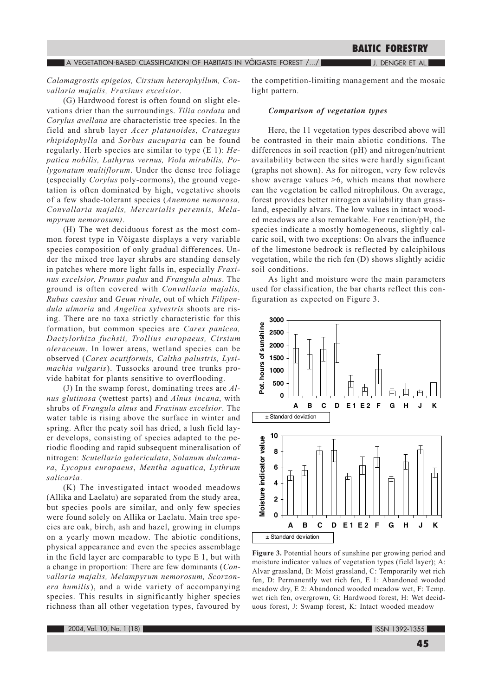$\blacksquare$  a vegetation-based classification of habitats in võigaste forest /.../ $\blacksquare$ 

## **BALTIC FORESTRY**

J. DENGER ET AL.

Calamagrostis epigeios, Cirsium heterophyllum, Convallaria majalis, Fraxinus excelsior.

(G) Hardwood forest is often found on slight elevations drier than the surroundings. Tilia cordata and Corylus avellana are characteristic tree species. In the field and shrub layer Acer platanoides, Crataegus rhipidophylla and Sorbus aucuparia can be found regularly. Herb species are similar to type  $(E 1)$ : Hepatica nobilis, Lathyrus vernus, Viola mirabilis, Polygonatum multiflorum. Under the dense tree foliage (especially *Corylus* poly-cormons), the ground vegetation is often dominated by high, vegetative shoots of a few shade-tolerant species (Anemone nemorosa, Convallaria majalis, Mercurialis perennis, Melampyrum nemorosum).

(H) The wet deciduous forest as the most common forest type in Võigaste displays a very variable species composition of only gradual differences. Under the mixed tree layer shrubs are standing densely in patches where more light falls in, especially Fraxinus excelsior, Prunus padus and Frangula alnus. The ground is often covered with Convallaria majalis, Rubus caesius and Geum rivale, out of which Filipendula ulmaria and Angelica sylvestris shoots are rising. There are no taxa strictly characteristic for this formation, but common species are Carex panicea, Dactylorhiza fuchsii, Trollius europaeus, Cirsium oleraceum. In lower areas, wetland species can be observed (Carex acutiformis, Caltha palustris, Lysi*machia vulgaris*). Tussocks around tree trunks provide habitat for plants sensitive to overflooding.

(J) In the swamp forest, dominating trees are  $Al$ nus glutinosa (wettest parts) and Alnus incana, with shrubs of Frangula alnus and Fraxinus excelsior. The water table is rising above the surface in winter and spring. After the peaty soil has dried, a lush field layer develops, consisting of species adapted to the periodic flooding and rapid subsequent mineralisation of nitrogen: Scutellaria galericulata, Solanum dulcamara, Lycopus europaeus, Mentha aquatica, Lythrum salicaria

(K) The investigated intact wooded meadows (Allika and Laelatu) are separated from the study area, but species pools are similar, and only few species were found solely on Allika or Laelatu. Main tree species are oak, birch, ash and hazel, growing in clumps on a yearly mown meadow. The abiotic conditions, physical appearance and even the species assemblage in the field layer are comparable to type  $E_1$ , but with a change in proportion: There are few dominants (Convallaria majalis, Melampyrum nemorosum, Scorzonera humilis), and a wide variety of accompanying species. This results in significantly higher species richness than all other vegetation types, favoured by

the competition-limiting management and the mosaic light pattern.

#### Comparison of vegetation types

Here, the 11 vegetation types described above will be contrasted in their main abiotic conditions. The differences in soil reaction  $(pH)$  and nitrogen/nutrient availability between the sites were hardly significant (graphs not shown). As for nitrogen, very few relevés show average values  $>6$ , which means that nowhere can the vegetation be called nitrophilous. On average, forest provides better nitrogen availability than grassland, especially alvars. The low values in intact wooded meadows are also remarkable. For reaction/pH, the species indicate a mostly homogeneous, slightly calcaric soil, with two exceptions: On alvars the influence of the limestone bedrock is reflected by calciphilous vegetation, while the rich fen (D) shows slightly acidic soil conditions.

As light and moisture were the main parameters used for classification, the bar charts reflect this configuration as expected on Figure 3.



Figure 3. Potential hours of sunshine per growing period and moisture indicator values of vegetation types (field layer); A: Alvar grassland, B: Moist grassland, C: Temporarily wet rich fen, D: Permanently wet rich fen, E 1: Abandoned wooded meadow dry, E 2: Abandoned wooded meadow wet, F: Temp. wet rich fen, overgrown, G: Hardwood forest, H: Wet deciduous forest, J: Swamp forest, K: Intact wooded meadow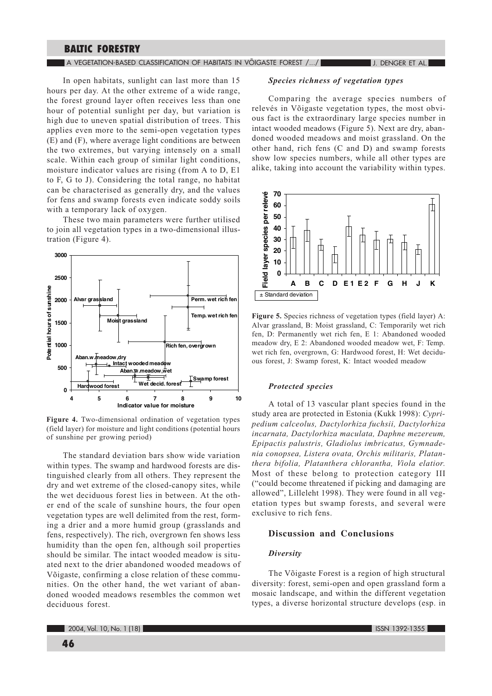#### $\blacksquare$  A vegetation-based classification of habitats in võigaste forest /.../  $\blacksquare$

J. DENGER ET AL.

In open habitats, sunlight can last more than 15 hours per day. At the other extreme of a wide range, the forest ground layer often receives less than one hour of potential sunlight per day, but variation is high due to uneven spatial distribution of trees. This applies even more to the semi-open vegetation types (E) and (F), where average light conditions are between the two extremes, but varying intensely on a small scale. Within each group of similar light conditions, moisture indicator values are rising (from A to D, E1 to F, G to J). Considering the total range, no habitat can be characterised as generally dry, and the values for fens and swamp forests even indicate soddy soils with a temporary lack of oxygen.

These two main parameters were further utilised to join all vegetation types in a two-dimensional illustration (Figure 4).



Figure 4. Two-dimensional ordination of vegetation types (field layer) for moisture and light conditions (potential hours of sunshine per growing period)

The standard deviation bars show wide variation within types. The swamp and hardwood forests are distinguished clearly from all others. They represent the dry and wet extreme of the closed-canopy sites, while the wet deciduous forest lies in between. At the other end of the scale of sunshine hours, the four open vegetation types are well delimited from the rest, forming a drier and a more humid group (grasslands and fens, respectively). The rich, overgrown fen shows less humidity than the open fen, although soil properties should be similar. The intact wooded meadow is situated next to the drier abandoned wooded meadows of Võigaste, confirming a close relation of these communities. On the other hand, the wet variant of abandoned wooded meadows resembles the common wet deciduous forest.

## Species richness of vegetation types

Comparing the average species numbers of relevés in Võigaste vegetation types, the most obvious fact is the extraordinary large species number in intact wooded meadows (Figure 5). Next are dry, abandoned wooded meadows and moist grassland. On the other hand, rich fens (C and D) and swamp forests show low species numbers, while all other types are alike, taking into account the variability within types.



Figure 5. Species richness of vegetation types (field layer) A: Alvar grassland, B: Moist grassland, C: Temporarily wet rich fen. D: Permanently wet rich fen. E 1: Abandoned wooded meadow dry, E 2: Abandoned wooded meadow wet, F: Temp. wet rich fen, overgrown, G: Hardwood forest, H: Wet deciduous forest, J: Swamp forest, K: Intact wooded meadow

#### **Protected species**

A total of 13 vascular plant species found in the study area are protected in Estonia (Kukk 1998): Cypripedium calceolus, Dactylorhiza fuchsii, Dactylorhiza incarnata, Dactylorhiza maculata, Daphne mezereum, Epipactis palustris, Gladiolus imbricatus, Gymnadenia conopsea, Listera ovata, Orchis militaris, Platanthera bifolia, Platanthera chlorantha, Viola elatior. Most of these belong to protection category III ("could become threatened if picking and damaging are allowed", Lilleleht 1998). They were found in all vegetation types but swamp forests, and several were exclusive to rich fens.

## **Discussion and Conclusions**

#### **Diversity**

The Võigaste Forest is a region of high structural diversity: forest, semi-open and open grassland form a mosaic landscape, and within the different vegetation types, a diverse horizontal structure develops (esp. in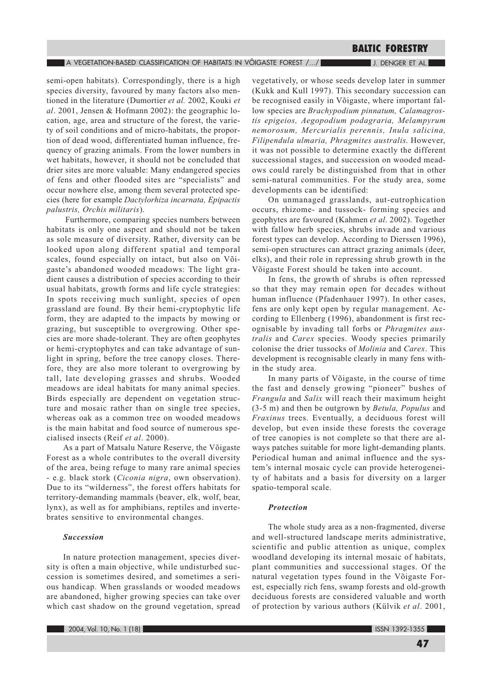#### A VEGETATION-BASED CLASSIFICATION OF HABITATS IN VÕIGASTE FOREST /.../

J. DENGER ET AL.

semi-open habitats). Correspondingly, there is a high species diversity, favoured by many factors also mentioned in the literature (Dumortier et al. 2002, Kouki et al. 2001, Jensen & Hofmann 2002): the geographic location, age, area and structure of the forest, the variety of soil conditions and of micro-habitats, the proportion of dead wood, differentiated human influence, frequency of grazing animals. From the lower numbers in wet habitats, however, it should not be concluded that drier sites are more valuable: Many endangered species of fens and other flooded sites are "specialists" and occur nowhere else, among them several protected species (here for example Dactylorhiza incarnata, Epipactis palustris, Orchis militaris).

Furthermore, comparing species numbers between habitats is only one aspect and should not be taken as sole measure of diversity. Rather, diversity can be looked upon along different spatial and temporal scales, found especially on intact, but also on Võigaste's abandoned wooded meadows: The light gradient causes a distribution of species according to their usual habitats, growth forms and life cycle strategies: In spots receiving much sunlight, species of open grassland are found. By their hemi-cryptophytic life form, they are adapted to the impacts by mowing or grazing, but susceptible to overgrowing. Other species are more shade-tolerant. They are often geophytes or hemi-cryptophytes and can take advantage of sunlight in spring, before the tree canopy closes. Therefore, they are also more tolerant to overgrowing by tall, late developing grasses and shrubs. Wooded meadows are ideal habitats for many animal species. Birds especially are dependent on vegetation structure and mosaic rather than on single tree species, whereas oak as a common tree on wooded meadows is the main habitat and food source of numerous specialised insects (Reif et al. 2000).

As a part of Matsalu Nature Reserve, the Võigaste Forest as a whole contributes to the overall diversity of the area, being refuge to many rare animal species - e.g. black stork (Ciconia nigra, own observation). Due to its "wilderness", the forest offers habitats for territory-demanding mammals (beaver, elk, wolf, bear, lynx), as well as for amphibians, reptiles and invertebrates sensitive to environmental changes.

#### **Succession**

In nature protection management, species diversity is often a main objective, while undisturbed succession is sometimes desired, and sometimes a serious handicap. When grasslands or wooded meadows are abandoned, higher growing species can take over which cast shadow on the ground vegetation, spread

vegetatively, or whose seeds develop later in summer (Kukk and Kull 1997). This secondary succession can be recognised easily in Võigaste, where important fallow species are *Brachypodium pinnatum*, *Calamagros*tis epigeios, Aegopodium podagraria, Melampyrum nemorosum, Mercurialis perennis, Inula salicina, Filipendula ulmaria, Phragmites australis. However, it was not possible to determine exactly the different successional stages, and succession on wooded meadows could rarely be distinguished from that in other semi-natural communities. For the study area, some developments can be identified:

On unmanaged grasslands, aut-eutrophication occurs, rhizome- and tussock- forming species and geophytes are favoured (Kahmen et al. 2002). Together with fallow herb species, shrubs invade and various forest types can develop. According to Dierssen 1996), semi-open structures can attract grazing animals (deer, elks), and their role in repressing shrub growth in the Võigaste Forest should be taken into account.

In fens, the growth of shrubs is often repressed so that they may remain open for decades without human influence (Pfadenhauer 1997). In other cases, fens are only kept open by regular management. According to Ellenberg (1996), abandonment is first recognisable by invading tall forbs or *Phragmites aus*tralis and Carex species. Woody species primarily colonise the drier tussocks of Molinia and Carex. This development is recognisable clearly in many fens within the study area.

In many parts of Võigaste, in the course of time the fast and densely growing "pioneer" bushes of Frangula and Salix will reach their maximum height (3-5 m) and then be outgrown by *Betula*, *Populus* and Fraxinus trees. Eventually, a deciduous forest will develop, but even inside these forests the coverage of tree canopies is not complete so that there are always patches suitable for more light-demanding plants. Periodical human and animal influence and the system's internal mosaic cycle can provide heterogeneity of habitats and a basis for diversity on a larger spatio-temporal scale.

#### Protection

The whole study area as a non-fragmented, diverse and well-structured landscape merits administrative, scientific and public attention as unique, complex woodland developing its internal mosaic of habitats, plant communities and successional stages. Of the natural vegetation types found in the Võigaste Forest, especially rich fens, swamp forests and old-growth deciduous forests are considered valuable and worth of protection by various authors (Külvik et al. 2001,

**ISSN 1392-1355**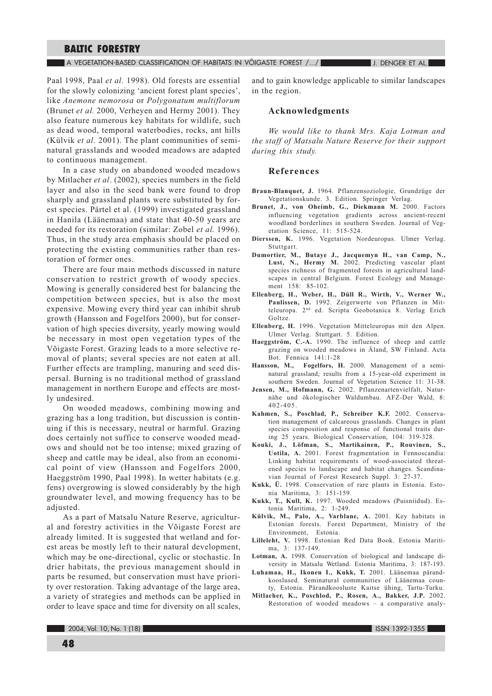A VEGETATION-BASED CLASSIFICATION OF HABITATS IN VOIGASTE FOREST /.../

**J. DENGER ET AL.** 

Paal 1998, Paal *et al.* 1998). Old forests are essential for the slowly colonizing 'ancient forest plant species', like Anemone nemorosa or Polygonatum multiflorum (Brunet *et al.* 2000, Verheyen and Hermy 2001). They also feature numerous key habitats for wildlife, such as dead wood, temporal waterbodies, rocks, ant hills (Külvik et al. 2001). The plant communities of seminatural grasslands and wooded meadows are adapted to continuous management.

In a case study on abandoned wooded meadows by Mitlacher et al. (2002), species numbers in the field layer and also in the seed bank were found to drop sharply and grassland plants were substituted by forest species. Pärtel et al. (1999) investigated grassland in Hanila (Läänemaa) and state that 40-50 years are needed for its restoration (similar: Zobel et al. 1996). Thus, in the study area emphasis should be placed on protecting the existing communities rather than restoration of former ones.

There are four main methods discussed in nature conservation to restrict growth of woody species. Mowing is generally considered best for balancing the competition between species, but is also the most expensive. Mowing every third year can inhibit shrub growth (Hansson and Fogelfors 2000), but for conservation of high species diversity, yearly mowing would be necessary in most open vegetation types of the Võigaste Forest. Grazing leads to a more selective removal of plants; several species are not eaten at all. Further effects are trampling, manuring and seed dispersal. Burning is no traditional method of grassland management in northern Europe and effects are mostly undesired.

On wooded meadows, combining mowing and grazing has a long tradition, but discussion is continuing if this is necessary, neutral or harmful. Grazing does certainly not suffice to conserve wooded meadows and should not be too intense; mixed grazing of sheep and cattle may be ideal, also from an economical point of view (Hansson and Fogelfors 2000, Haeggström 1990, Paal 1998). In wetter habitats (e.g. fens) overgrowing is slowed considerably by the high groundwater level, and mowing frequency has to be adjusted.

As a part of Matsalu Nature Reserve, agricultural and forestry activities in the Võigaste Forest are already limited. It is suggested that wetland and forest areas be mostly left to their natural development, which may be one-directional, cyclic or stochastic. In drier habitats, the previous management should in parts be resumed, but conservation must have priority over restoration. Taking advantage of the large area, a variety of strategies and methods can be applied in order to leave space and time for diversity on all scales, and to gain knowledge applicable to similar landscapes in the region.

### **Acknowledgments**

We would like to thank Mrs. Kaja Lotman and the staff of Matsalu Nature Reserve for their support during this study.

#### **References**

- Braun-Blanquet, J. 1964. Pflanzensoziologie, Grundzüge der Vegetationskunde. 3. Edition. Springer Verlag.
- Brunet, J., von Oheimb, G., Diekmann M. 2000. Factors influencing vegetation gradients across ancient-recent woodland borderlines in southern Sweden. Journal of Vegetation Science, 11: 515-524.
- Dierssen, K. 1996. Vegetation Nordeuropas. Ulmer Verlag. Stuttgart.
- Dumortier, M., Butaye J., Jacquemyn H., van Camp, N., Lust, N., Hermy M. 2002. Predicting vascular plant species richness of fragmented forests in agricultural landscapes in central Belgium. Forest Ecology and Management 158: 85-102.
- Ellenberg, H., Weber, H., Düll R., Wirth, V., Werner W., Paulissen, D. 1992. Zeigerwerte von Pflanzen in Mitteleuropa. 2<sup>nd</sup> ed. Scripta Geobotanica 8. Verlag Erich Goltze.
- Ellenberg, H. 1996. Vegetation Mitteleuropas mit den Alpen. Ulmer Verlag. Stuttgart. 5. Edition.
- Haeggström, C.-A. 1990. The influence of sheep and cattle grazing on wooded meadows in Aland, SW Finland. Acta Bot. Fennica 141:1-28
- Hansson, M., Fogelfors, H. 2000. Management of a seminatural grassland; results from a 15-year-old experiment in southern Sweden. Journal of Vegetation Science 11: 31-38.
- Jensen, M., Hofmann, G. 2002. Pflanzenartenvielfalt, Naturnähe und ökologischer Waldumbau. AFZ-Der Wald, 8:  $402 - 405$ .
- Kahmen, S., Poschlad, P., Schreiber K.F. 2002. Conservation management of calcareous grasslands. Changes in plant species composition and response of functional traits during 25 years. Biological Conservation, 104: 319-328.
- Kouki, J., Löfman, S., Martikainen, P., Rouvinen, S., Uotila, A. 2001. Forest fragmentation in Fennoscandia: Linking habitat requirements of wood-associated threatened species to landscape and habitat changes. Scandinavian Journal of Forest Research Suppl. 3: 27-37.
- Kukk, Ü. 1998. Conservation of rare plants in Estonia. Estonia Maritima, 3: 151-159.
- Kukk, T., Kull, K. 1997. Wooded meadows (Puisniidud). Estonia Maritima, 2: 1-249.
- Külvik, M., Palo, A., Varblane, A. 2001. Key habitats in Estonian forests. Forest Department, Ministry of the Environment, Estonia.
- Lilleleht, V. 1998. Estonian Red Data Book. Estonia Mariti $ma. 3: 137-149.$
- Lotman, A. 1998. Conservation of biological and landscape diversity in Matsalu Wetland. Estonia Maritima, 3: 187-193.
- Luhamaa, H., Ikonen I., Kukk, T. 2001. Läänemaa pärandkooslused. Seminatural communities of Läänemaa county, Estonia. Pärandkoosluste Kaitse ühing, Tartu-Turku.
- Mitlacher, K., Poschlod, P., Rosen, A., Bakker, J.P. 2002. Restoration of wooded meadows - a comparative analy-